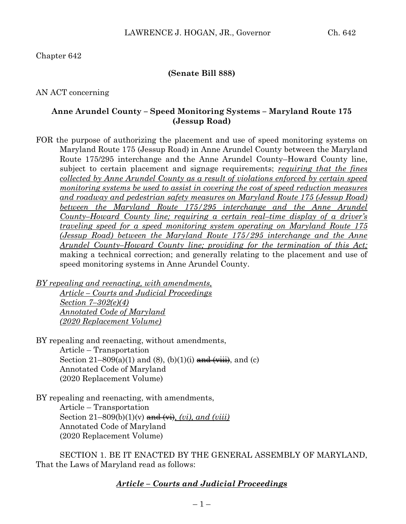Chapter 642

### **(Senate Bill 888)**

AN ACT concerning

### **Anne Arundel County – Speed Monitoring Systems – Maryland Route 175 (Jessup Road)**

FOR the purpose of authorizing the placement and use of speed monitoring systems on Maryland Route 175 (Jessup Road) in Anne Arundel County between the Maryland Route 175/295 interchange and the Anne Arundel County–Howard County line, subject to certain placement and signage requirements; *requiring that the fines collected by Anne Arundel County as a result of violations enforced by certain speed monitoring systems be used to assist in covering the cost of speed reduction measures and roadway and pedestrian safety measures on Maryland Route 175 (Jessup Road) between the Maryland Route 175/295 interchange and the Anne Arundel County–Howard County line; requiring a certain real–time display of a driver's traveling speed for a speed monitoring system operating on Maryland Route 175 (Jessup Road) between the Maryland Route 175/295 interchange and the Anne Arundel County–Howard County line; providing for the termination of this Act;* making a technical correction; and generally relating to the placement and use of speed monitoring systems in Anne Arundel County.

*BY repealing and reenacting, with amendments, Article – Courts and Judicial Proceedings Section 7–302(e)(4) Annotated Code of Maryland (2020 Replacement Volume)* 

BY repealing and reenacting, without amendments, Article – Transportation Section  $21-809(a)(1)$  and  $(8)$ ,  $(b)(1)(i)$  and  $(viii)$ , and  $(c)$ Annotated Code of Maryland (2020 Replacement Volume)

BY repealing and reenacting, with amendments, Article – Transportation Section  $21-809(b)(1)(v)$  and  $(vii)$ , *(vi)*, *and (viii)* Annotated Code of Maryland (2020 Replacement Volume)

SECTION 1. BE IT ENACTED BY THE GENERAL ASSEMBLY OF MARYLAND, That the Laws of Maryland read as follows:

## *Article – Courts and Judicial Proceedings*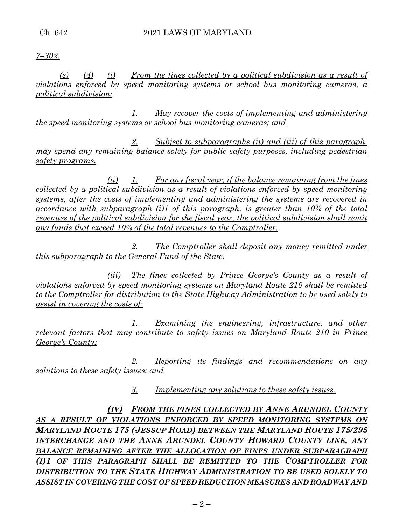*7–302.*

*(e) (4) (i) From the fines collected by a political subdivision as a result of violations enforced by speed monitoring systems or school bus monitoring cameras, a political subdivision:*

*1. May recover the costs of implementing and administering the speed monitoring systems or school bus monitoring cameras; and*

*2. Subject to subparagraphs (ii) and (iii) of this paragraph, may spend any remaining balance solely for public safety purposes, including pedestrian safety programs.*

*(ii) 1. For any fiscal year, if the balance remaining from the fines collected by a political subdivision as a result of violations enforced by speed monitoring systems, after the costs of implementing and administering the systems are recovered in accordance with subparagraph (i)1 of this paragraph, is greater than 10% of the total revenues of the political subdivision for the fiscal year, the political subdivision shall remit any funds that exceed 10% of the total revenues to the Comptroller.*

*2. The Comptroller shall deposit any money remitted under this subparagraph to the General Fund of the State.*

*(iii) The fines collected by Prince George's County as a result of violations enforced by speed monitoring systems on Maryland Route 210 shall be remitted to the Comptroller for distribution to the State Highway Administration to be used solely to assist in covering the costs of:*

*1. Examining the engineering, infrastructure, and other relevant factors that may contribute to safety issues on Maryland Route 210 in Prince George's County;*

*2. Reporting its findings and recommendations on any solutions to these safety issues; and*

*3. Implementing any solutions to these safety issues.*

*(IV) FROM THE FINES COLLECTED BY ANNE ARUNDEL COUNTY*  AS A RESULT OF VIOLATIONS ENFORCED BY SPEED MONITORING SYSTEMS ON *MARYLAND ROUTE 175 (JESSUP ROAD) BETWEEN THE MARYLAND ROUTE 175/295 INTERCHANGE AND THE ANNE ARUNDEL COUNTY–HOWARD COUNTY LINE, ANY BALANCE REMAINING AFTER THE ALLOCATION OF FINES UNDER SUBPARAGRAPH (I)1 OF THIS PARAGRAPH SHALL BE REMITTED TO THE COMPTROLLER FOR DISTRIBUTION TO THE STATE HIGHWAY ADMINISTRATION TO BE USED SOLELY TO ASSIST IN COVERING THE COST OF SPEED REDUCTION MEASURES AND ROADWAY AND*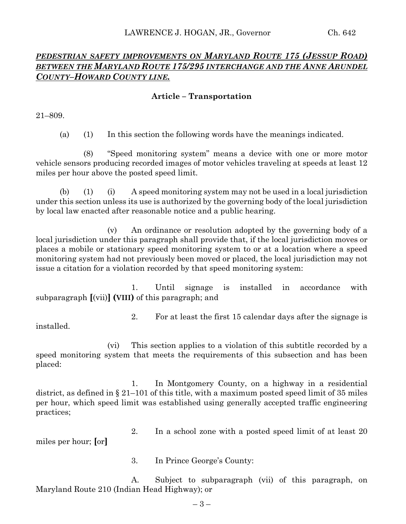# *PEDESTRIAN SAFETY IMPROVEMENTS ON MARYLAND ROUTE 175 (JESSUP ROAD) BETWEEN THE MARYLAND ROUTE 175/295 INTERCHANGE AND THE ANNE ARUNDEL COUNTY–HOWARD COUNTY LINE.*

### **Article – Transportation**

21–809.

(a) (1) In this section the following words have the meanings indicated.

(8) "Speed monitoring system" means a device with one or more motor vehicle sensors producing recorded images of motor vehicles traveling at speeds at least 12 miles per hour above the posted speed limit.

(b) (1) (i) A speed monitoring system may not be used in a local jurisdiction under this section unless its use is authorized by the governing body of the local jurisdiction by local law enacted after reasonable notice and a public hearing.

(v) An ordinance or resolution adopted by the governing body of a local jurisdiction under this paragraph shall provide that, if the local jurisdiction moves or places a mobile or stationary speed monitoring system to or at a location where a speed monitoring system had not previously been moved or placed, the local jurisdiction may not issue a citation for a violation recorded by that speed monitoring system:

1. Until signage is installed in accordance with subparagraph **[**(vii)**] (VIII)** of this paragraph; and

2. For at least the first 15 calendar days after the signage is installed.

(vi) This section applies to a violation of this subtitle recorded by a speed monitoring system that meets the requirements of this subsection and has been placed:

1. In Montgomery County, on a highway in a residential district, as defined in § 21–101 of this title, with a maximum posted speed limit of 35 miles per hour, which speed limit was established using generally accepted traffic engineering practices;

2. In a school zone with a posted speed limit of at least 20

miles per hour; **[**or**]**

3. In Prince George's County:

A. Subject to subparagraph (vii) of this paragraph, on Maryland Route 210 (Indian Head Highway); or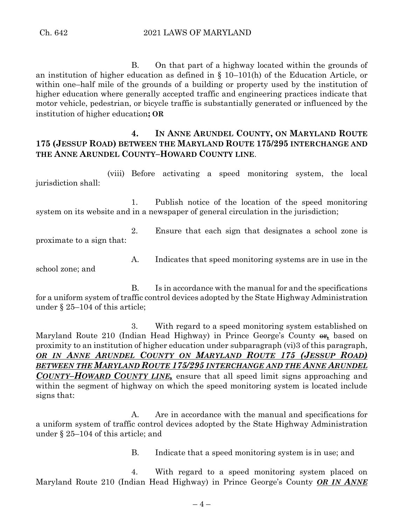B. On that part of a highway located within the grounds of an institution of higher education as defined in § 10–101(h) of the Education Article, or within one–half mile of the grounds of a building or property used by the institution of higher education where generally accepted traffic and engineering practices indicate that motor vehicle, pedestrian, or bicycle traffic is substantially generated or influenced by the institution of higher education**; OR**

## **4. IN ANNE ARUNDEL COUNTY, ON MARYLAND ROUTE 175 (JESSUP ROAD) BETWEEN THE MARYLAND ROUTE 175/295 INTERCHANGE AND THE ANNE ARUNDEL COUNTY–HOWARD COUNTY LINE**.

(viii) Before activating a speed monitoring system, the local jurisdiction shall:

1. Publish notice of the location of the speed monitoring system on its website and in a newspaper of general circulation in the jurisdiction;

2. Ensure that each sign that designates a school zone is proximate to a sign that:

A. Indicates that speed monitoring systems are in use in the

school zone; and

B. Is in accordance with the manual for and the specifications for a uniform system of traffic control devices adopted by the State Highway Administration under § 25–104 of this article;

3. With regard to a speed monitoring system established on Maryland Route 210 (Indian Head Highway) in Prince George's County  $\theta$ , based on proximity to an institution of higher education under subparagraph (vi)3 of this paragraph, *OR IN ANNE ARUNDEL COUNTY ON MARYLAND ROUTE 175 (JESSUP ROAD) BETWEEN THE MARYLAND ROUTE 175/295 INTERCHANGE AND THE ANNE ARUNDEL COUNTY–HOWARD COUNTY LINE,* ensure that all speed limit signs approaching and within the segment of highway on which the speed monitoring system is located include signs that:

A. Are in accordance with the manual and specifications for a uniform system of traffic control devices adopted by the State Highway Administration under § 25–104 of this article; and

B. Indicate that a speed monitoring system is in use; and

4. With regard to a speed monitoring system placed on Maryland Route 210 (Indian Head Highway) in Prince George's County *OR IN ANNE*